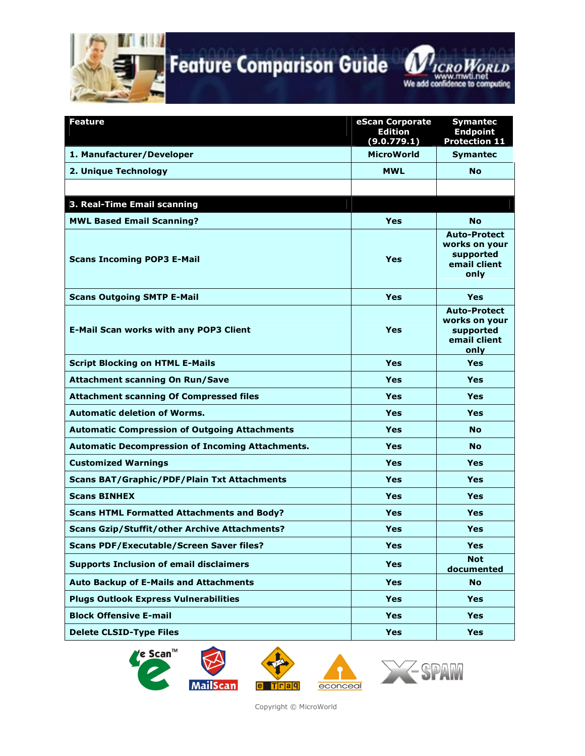

**Feature Comparison Guide** 

**MICROWORLD** mwti.net www.mwu.net<br>We add confidence to computing

| Feature                                                 | eScan Corporate<br><b>Edition</b><br>(9.0.779.1) | <b>Symantec</b><br><b>Endpoint</b><br><b>Protection 11</b>                |
|---------------------------------------------------------|--------------------------------------------------|---------------------------------------------------------------------------|
| 1. Manufacturer/Developer                               | <b>MicroWorld</b>                                | <b>Symantec</b>                                                           |
| 2. Unique Technology                                    | <b>MWL</b>                                       | <b>No</b>                                                                 |
|                                                         |                                                  |                                                                           |
| 3. Real-Time Email scanning                             |                                                  |                                                                           |
| <b>MWL Based Email Scanning?</b>                        | <b>Yes</b>                                       | <b>No</b>                                                                 |
| <b>Scans Incoming POP3 E-Mail</b>                       | <b>Yes</b>                                       | <b>Auto-Protect</b><br>works on your<br>supported<br>email client<br>only |
| <b>Scans Outgoing SMTP E-Mail</b>                       | <b>Yes</b>                                       | Yes                                                                       |
| <b>E-Mail Scan works with any POP3 Client</b>           | Yes                                              | <b>Auto-Protect</b><br>works on your<br>supported<br>email client<br>only |
| <b>Script Blocking on HTML E-Mails</b>                  | <b>Yes</b>                                       | <b>Yes</b>                                                                |
| <b>Attachment scanning On Run/Save</b>                  | Yes                                              | Yes                                                                       |
| <b>Attachment scanning Of Compressed files</b>          | Yes                                              | <b>Yes</b>                                                                |
| <b>Automatic deletion of Worms.</b>                     | Yes                                              | Yes                                                                       |
| <b>Automatic Compression of Outgoing Attachments</b>    | <b>Yes</b>                                       | <b>No</b>                                                                 |
| <b>Automatic Decompression of Incoming Attachments.</b> | Yes                                              | <b>No</b>                                                                 |
| <b>Customized Warnings</b>                              | <b>Yes</b>                                       | <b>Yes</b>                                                                |
| <b>Scans BAT/Graphic/PDF/Plain Txt Attachments</b>      | <b>Yes</b>                                       | Yes                                                                       |
| <b>Scans BINHEX</b>                                     | <b>Yes</b>                                       | <b>Yes</b>                                                                |
| <b>Scans HTML Formatted Attachments and Body?</b>       | Yes                                              | Yes                                                                       |
| <b>Scans Gzip/Stuffit/other Archive Attachments?</b>    | Yes                                              | <b>Yes</b>                                                                |
| <b>Scans PDF/Executable/Screen Saver files?</b>         | Yes                                              | Yes                                                                       |
| <b>Supports Inclusion of email disclaimers</b>          | Yes                                              | <b>Not</b><br>documented                                                  |
| <b>Auto Backup of E-Mails and Attachments</b>           | <b>Yes</b>                                       | <b>No</b>                                                                 |
| <b>Plugs Outlook Express Vulnerabilities</b>            | <b>Yes</b>                                       | <b>Yes</b>                                                                |
| <b>Block Offensive E-mail</b>                           | <b>Yes</b>                                       | <b>Yes</b>                                                                |
| <b>Delete CLSID-Type Files</b>                          | <b>Yes</b>                                       | <b>Yes</b>                                                                |







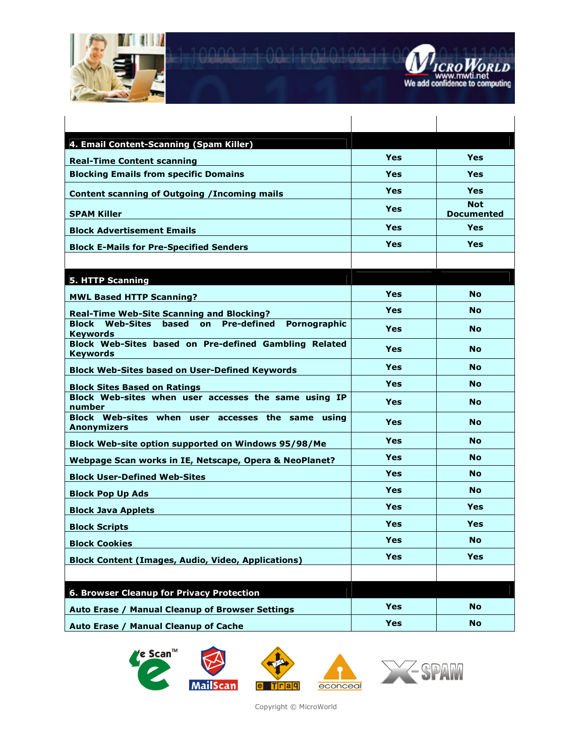



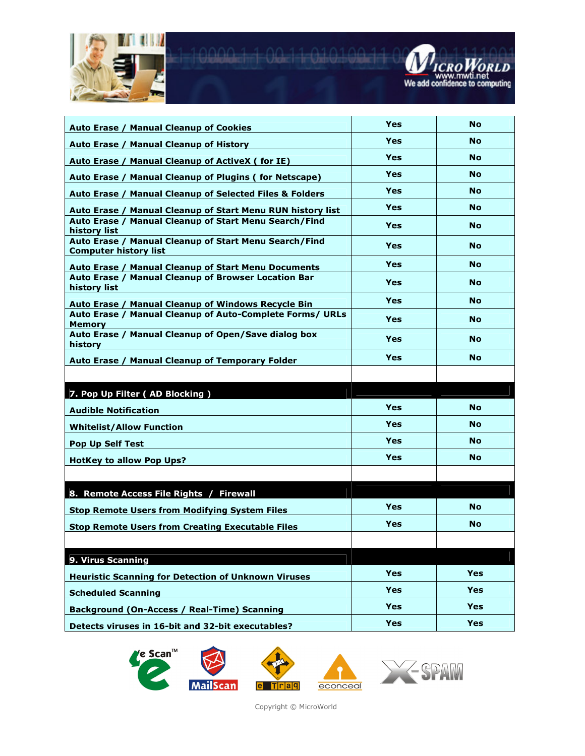



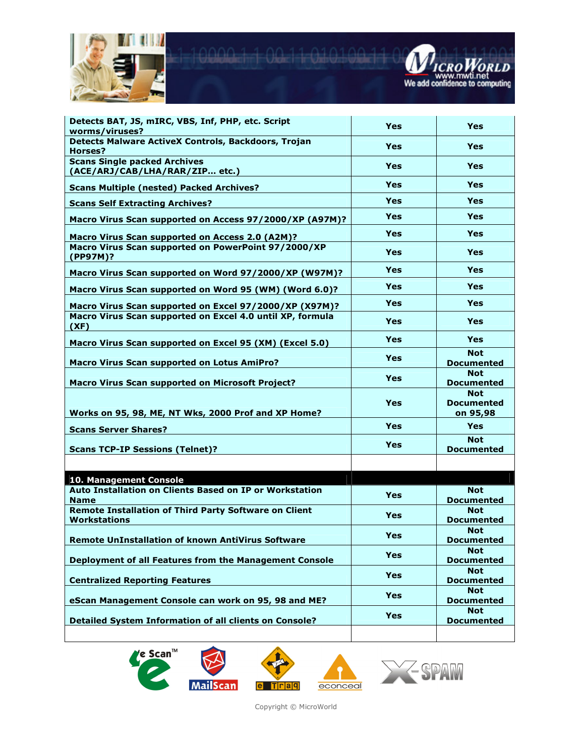